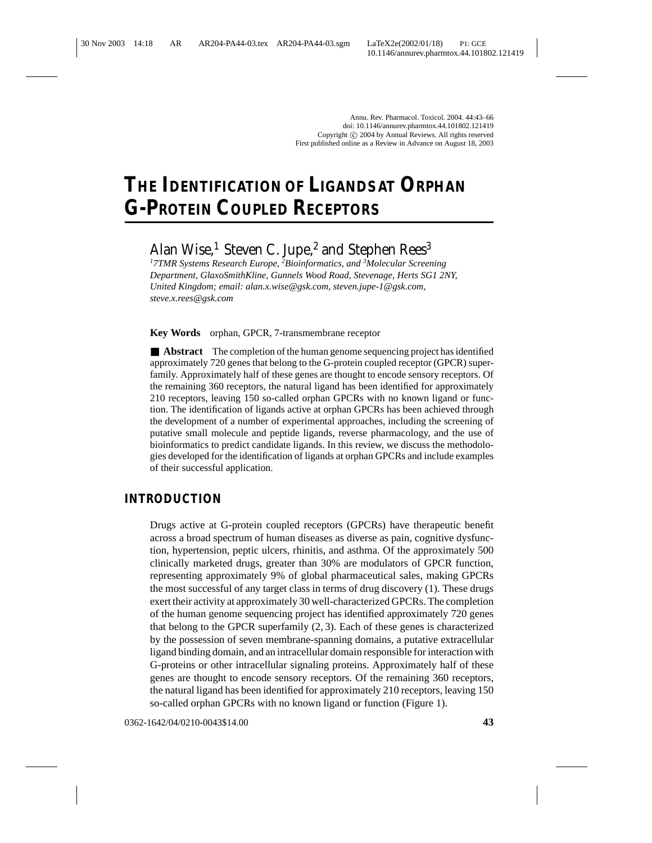# **THE IDENTIFICATION OF LIGANDS AT ORPHAN G-PROTEIN COUPLED RECEPTORS**

## Alan Wise,<sup>1</sup> Steven C. Jupe,<sup>2</sup> and Stephen Rees<sup>3</sup>

*1 7TMR Systems Research Europe, <sup>2</sup> Bioinformatics, and <sup>3</sup> Molecular Screening Department, GlaxoSmithKline, Gunnels Wood Road, Stevenage, Herts SG1 2NY, United Kingdom; email: alan.x.wise@gsk.com, steven.jupe-1@gsk.com, steve.x.rees@gsk.com*

**Key Words** orphan, GPCR, 7-transmembrane receptor

■ **Abstract** The completion of the human genome sequencing project has identified approximately 720 genes that belong to the G-protein coupled receptor (GPCR) superfamily. Approximately half of these genes are thought to encode sensory receptors. Of the remaining 360 receptors, the natural ligand has been identified for approximately 210 receptors, leaving 150 so-called orphan GPCRs with no known ligand or function. The identification of ligands active at orphan GPCRs has been achieved through the development of a number of experimental approaches, including the screening of putative small molecule and peptide ligands, reverse pharmacology, and the use of bioinformatics to predict candidate ligands. In this review, we discuss the methodologies developed for the identification of ligands at orphan GPCRs and include examples of their successful application.

### **INTRODUCTION**

Drugs active at G-protein coupled receptors (GPCRs) have therapeutic benefit across a broad spectrum of human diseases as diverse as pain, cognitive dysfunction, hypertension, peptic ulcers, rhinitis, and asthma. Of the approximately 500 clinically marketed drugs, greater than 30% are modulators of GPCR function, representing approximately 9% of global pharmaceutical sales, making GPCRs the most successful of any target class in terms of drug discovery (1). These drugs exert their activity at approximately 30 well-characterized GPCRs. The completion of the human genome sequencing project has identified approximately 720 genes that belong to the GPCR superfamily (2, 3). Each of these genes is characterized by the possession of seven membrane-spanning domains, a putative extracellular ligand binding domain, and an intracellular domain responsible for interaction with G-proteins or other intracellular signaling proteins. Approximately half of these genes are thought to encode sensory receptors. Of the remaining 360 receptors, the natural ligand has been identified for approximately 210 receptors, leaving 150 so-called orphan GPCRs with no known ligand or function (Figure 1).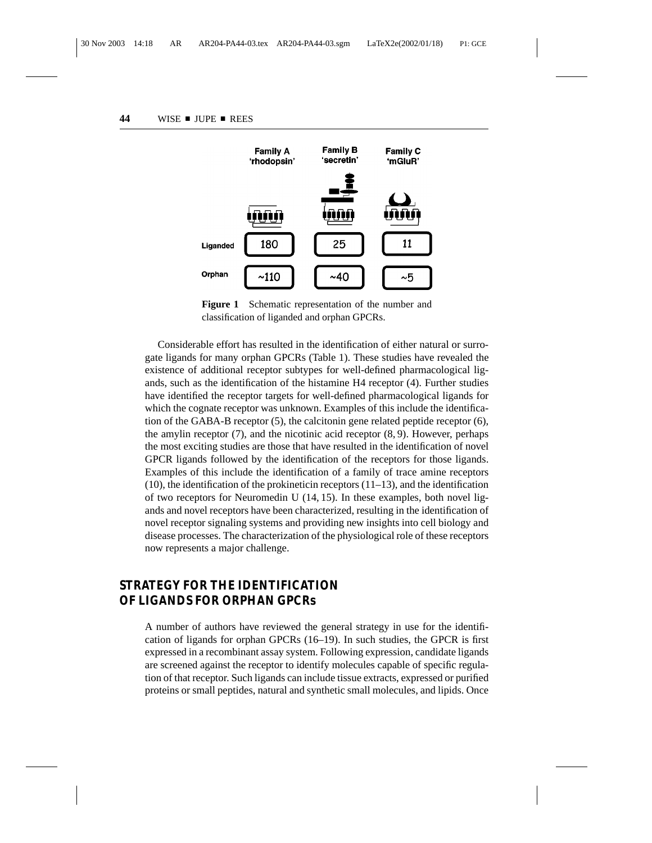

Figure 1 Schematic representation of the number and classification of liganded and orphan GPCRs.

Considerable effort has resulted in the identification of either natural or surrogate ligands for many orphan GPCRs (Table 1). These studies have revealed the existence of additional receptor subtypes for well-defined pharmacological ligands, such as the identification of the histamine H4 receptor (4). Further studies have identified the receptor targets for well-defined pharmacological ligands for which the cognate receptor was unknown. Examples of this include the identification of the GABA-B receptor (5), the calcitonin gene related peptide receptor (6), the amylin receptor  $(7)$ , and the nicotinic acid receptor  $(8, 9)$ . However, perhaps the most exciting studies are those that have resulted in the identification of novel GPCR ligands followed by the identification of the receptors for those ligands. Examples of this include the identification of a family of trace amine receptors  $(10)$ , the identification of the prokineticin receptors  $(11-13)$ , and the identification of two receptors for Neuromedin U (14, 15). In these examples, both novel ligands and novel receptors have been characterized, resulting in the identification of novel receptor signaling systems and providing new insights into cell biology and disease processes. The characterization of the physiological role of these receptors now represents a major challenge.

### **STRATEGY FOR THE IDENTIFICATION OF LIGANDS FOR ORPHAN GPCRs**

A number of authors have reviewed the general strategy in use for the identification of ligands for orphan GPCRs (16–19). In such studies, the GPCR is first expressed in a recombinant assay system. Following expression, candidate ligands are screened against the receptor to identify molecules capable of specific regulation of that receptor. Such ligands can include tissue extracts, expressed or purified proteins or small peptides, natural and synthetic small molecules, and lipids. Once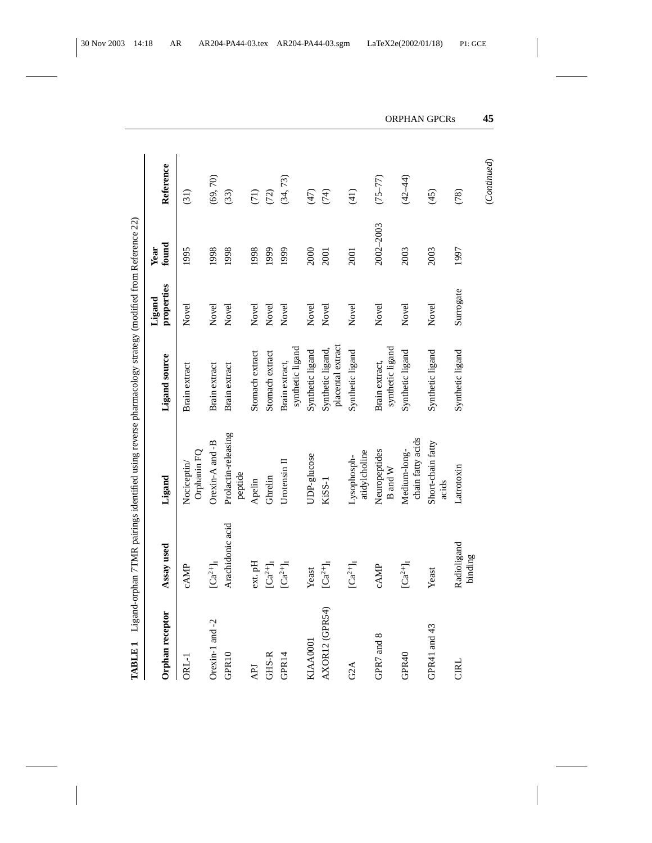| <b>TABLE 1</b>   |                                   | Ligand-orphan 7TMR pairings identified using reverse pharmacology strategy (modified from Reference 22) |                                        |                      |               |             |
|------------------|-----------------------------------|---------------------------------------------------------------------------------------------------------|----------------------------------------|----------------------|---------------|-------------|
| Orphan receptor  | Assay used                        | Ligand                                                                                                  | Ligand source                          | properties<br>Ligand | found<br>Year | Reference   |
| ORL-1            | <b>CAMP</b>                       | Orphanin FQ<br>Nociceptin                                                                               | Brain extract                          | Novel                | 1995          | (31)        |
| Orexin-1 and -2  | $\left[Ca^{2+}\right]_{\rm I}$    | Orexin-A and -B                                                                                         | Brain extract                          | Novel                | 1998          | (69, 70)    |
| GPR10            | Arachidonic acid                  | Prolactin-releasing<br>peptide                                                                          | Brain extract                          | Novel                | 1998          | (33)        |
| <b>APJ</b>       | ext. pH                           | Apelin                                                                                                  | Stomach extract                        | Novel                | 1998          | (71)        |
| GHS-R            | $\lbrack Ca^{2+}\rbrack _{I}$     | Ghrelin                                                                                                 | Stomach extract                        | Novel                | 1999          | (72)        |
| GPR14            | $\left[Ca^{2+}\right]_{\rm I}$    | Urotensin II                                                                                            | synthetic ligand<br>Brain extract,     | Novel                | 1999          | (34, 73)    |
| KIAA0001         | Yeast                             | UDP-glucose                                                                                             | Synthetic ligand                       | Novel                | 2000          | (47)        |
| AXOR12 (GPR54)   | $\lbrack Ca^{2+}\rbrack _{\rm I}$ | KiSS-1                                                                                                  | placental extract<br>Synthetic ligand, | Novel                | 2001          | (74)        |
| G <sub>2</sub> A | $\left[Ca^{2+}\right]_{I}$        | atidylcholine<br>Lysophosph-                                                                            | Synthetic ligand                       | Novel                | 2001          | (41)        |
| GPR7 and 8       | cAMP                              | Neuropeptides<br>$\mathbf B$ and $\mathbf W$                                                            | synthetic ligand<br>Brain extract,     | Novel                | 2002-2003     | $(75 - 77)$ |
| GPR40            | $\lbrack Ca^{2+}\rbrack\lbrack$   | chain fatty acids<br>Medium-long-                                                                       | Synthetic ligand                       | Novel                | 2003          | $(42 - 44)$ |
| GPR41 and 43     | Yeast                             | Short-chain fatty<br>acids                                                                              | Synthetic ligand                       | Novel                | 2003          | (45)        |
| <b>CIRL</b>      | Radioligand<br>binding            | Latrotoxin                                                                                              | Synthetic ligand                       | Surrogate            | 1997          | (78)        |

 $(Continued) % \begin{minipage}[b]{0.5\linewidth} \centering \centerline{\includegraphics[width=0.5\linewidth]{images/STM100020.jpg} \centerline{\includegraphics[width=0.5\linewidth]{images/STM100020.jpg} \centerline{\includegraphics[width=0.5\linewidth]{images/STM100020.jpg} \centerline{\includegraphics[width=0.5\linewidth]{images/STM100020.jpg} \centerline{\includegraphics[width=0.5\linewidth]{images/STM100020.jpg} \centerline{\includegraphics[width=0.5\linewidth]{images/STM100020.jpg} \centerline{\includegraphics[width=0.5\linewidth]{images/STM100020.jpg} \centerline{\includegraphics[width$ (*Continued*)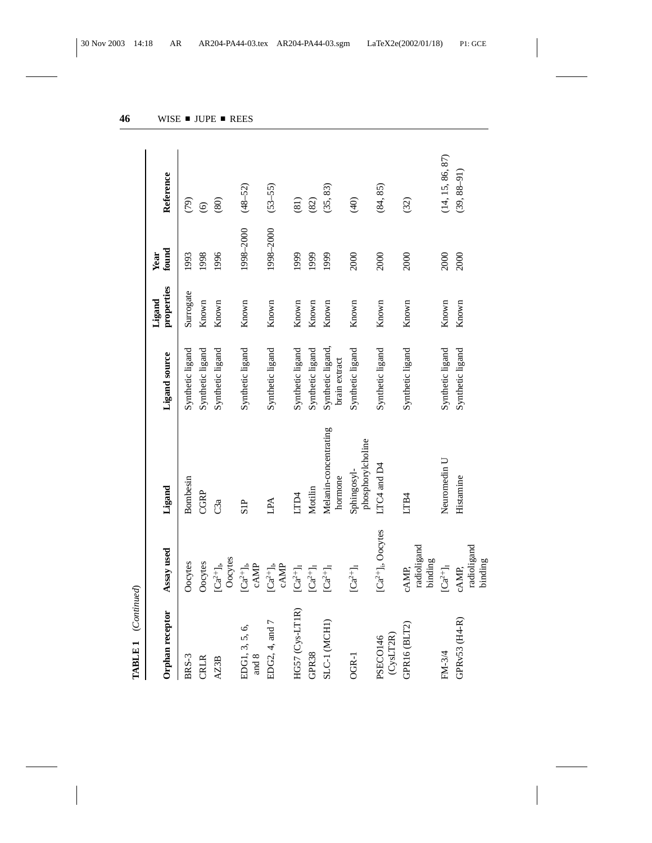| Orphan receptor         | Assay used                                                        | Ligand                           | Ligand source                      | properties<br>Ligand | found<br>Year | Reference        |
|-------------------------|-------------------------------------------------------------------|----------------------------------|------------------------------------|----------------------|---------------|------------------|
| BRS-3                   | Oocytes                                                           | Bombesin                         | Synthetic ligand                   | Surrogate            | 1993          | (79)             |
| <b>CRLR</b>             | Oocytes                                                           | CGRP                             | Synthetic ligand                   | Known                | 1998          | $\odot$          |
| AZ3B                    | Oocytes<br>$\left[Ca^{2+}\right]_{\rm I}$                         | C3a                              | Synthetic ligand                   | Known                | 1996          | (80)             |
| EDG1, 3, 5, 6,<br>and 8 | $\begin{array}{c} [Ca^{2+}]_{\rm I},\\ \mathrm{cAMP} \end{array}$ | SIP                              | Synthetic ligand                   | Known                | 1998-2000     | $(48 - 52)$      |
| EDG2, 4, and 7          | $\begin{array}{c} \rm [Ca^{2+}J_1,\\ \rm cAMP \end{array}$        | ALI                              | Synthetic ligand                   | Known                | 1998-2000     | $(53 - 55)$      |
| HG57 (Cys-LT1R)         | $\lbrack Ca^{2+}\rbrack _{I}$                                     | LTD4                             | Synthetic ligand                   | Known                | 1999          | (81)             |
| GPR38                   | $\rm [Ca^{2+}]_I$                                                 | Motilin                          | Synthetic ligand                   | Known                | 1999          | (82)             |
| SLC-1 (MCH1)            | $\lbrack Ca^{2+}\rbrack _I$                                       | Melanin-concentrating<br>hormone | Synthetic ligand,<br>brain extract | Known                | 1999          | (35, 83)         |
| OGR-1                   | $\left[Ca^{2+}\right]_{I}$                                        | phosphorylcholine<br>Sphingosyl- | Synthetic ligand                   | Known                | 2000          | $\widehat{q}$    |
| (CysLT2R)<br>PSECO146   | $[Ca^{2+}]_i$ , Oocytes                                           | LTC4 and D4                      | Synthetic ligand                   | Known                | 2000          | (84, 85)         |
| GPR16 (BLT2)            | radioligand<br>binding<br>cAMP,                                   | LTB4                             | Synthetic ligand                   | Known                | 2000          | (32)             |
| FM-3/4                  | $\rm [Ca^{2+}]_I$                                                 | Neuromedin U                     | Synthetic ligand                   | Known                | 2000          | (14, 15, 86, 87) |
| GPRv53 (H4-R)           | radioligand<br>binding<br>cAMP,                                   | Histamine                        | Synthetic ligand                   | Known                | 2000          | $(39, 88 - 91)$  |

**TABLE 1** (*Continued*)

TABLE 1 (Continued)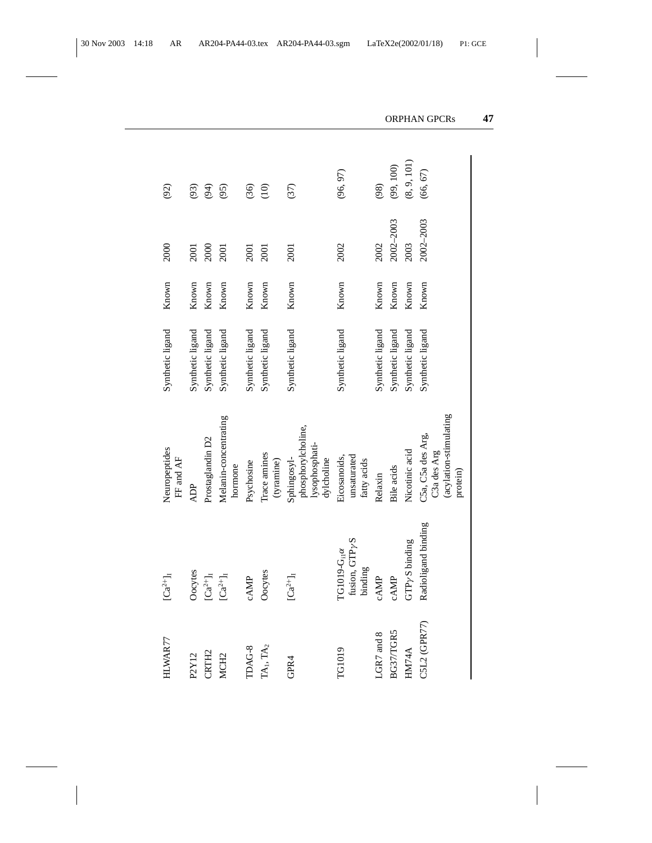| HLWAR77           | $[Ca^{2+}]_I$                                                        | Neuropeptides<br>FF and AF                                             | Synthetic ligand | Known | 2000      | (92)        |
|-------------------|----------------------------------------------------------------------|------------------------------------------------------------------------|------------------|-------|-----------|-------------|
| P2Y12             | Oocytes                                                              | <b>ADP</b>                                                             | Synthetic ligand | Known | 2001      | (93)        |
| CRTH <sub>2</sub> | $\lbrack Ca^{2+}\rbrack _I$                                          | Prostaglandin D2                                                       | Synthetic ligand | Known | 2000      | (94)        |
| MCH <sub>2</sub>  | $\lbrack Ca^{2+}\rbrack _I$                                          | Melanin-concentrating<br>hormone                                       | Synthetic ligand | Known | 2001      | (95)        |
| TDAG-8            | cAMP                                                                 | Psychosine                                                             | Synthetic ligand | Known | 2001      | (36)        |
| $TA_1$ , $TA_2$   | Oocytes                                                              | Trace amines<br>(tyramine)                                             | Synthetic ligand | Known | 2001      | (10)        |
| GPR4              | $\left[Ca^{2+}\right]_{I}$                                           | phosphorylcholine,<br>lysophosphati-<br>Sphingosyl-<br>dylcholine      | Synthetic ligand | Known | 2001      | (37)        |
| TG1019            | fusion, GTP <sub>/S</sub><br>$TG1019-G_{\text{nl}}\alpha$<br>binding | unsaturated<br>Eicosanoids,<br>fatty acids                             | Synthetic ligand | Known | 2002      | (96, 97)    |
| LGR7 and 8        | cAMP                                                                 | Relaxin                                                                | Synthetic ligand | Known | 2002      | (98)        |
| BG37/TGR5         | cAMP                                                                 | Bile acids                                                             | Synthetic ligand | Known | 2002-2003 | (99, 100)   |
| HM74A             | GTP <sub>Y</sub> S binding                                           | Nicotinic acid                                                         | Synthetic ligand | Known | 2003      | (8, 9, 101) |
| C5L2 (GPR77)      | Radioligand binding                                                  | (acylation-stimulating<br>C5a, C5a des Arg,<br>C3a des Arg<br>protein) | Synthetic ligand | Known | 2002-2003 | (66, 67)    |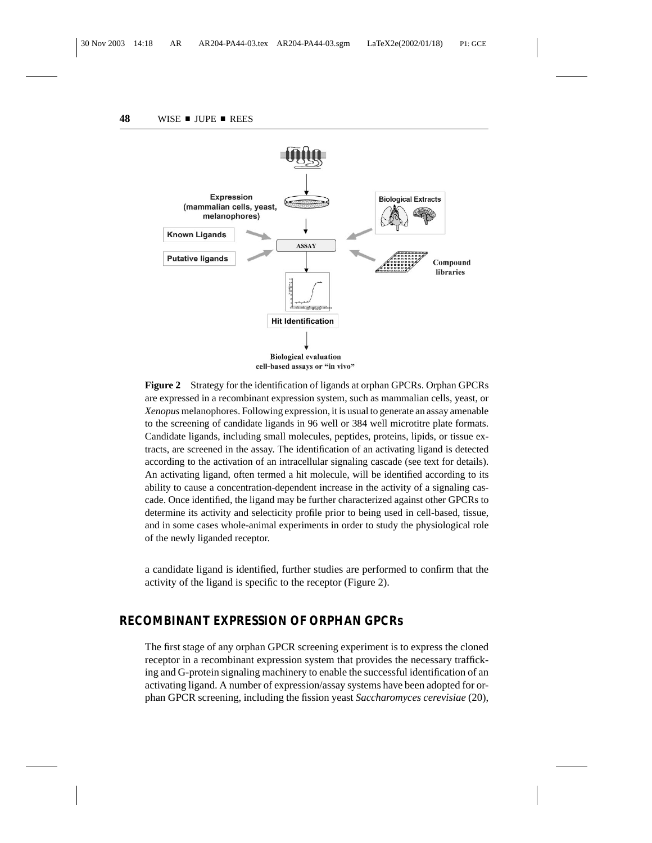

**Figure 2** Strategy for the identification of ligands at orphan GPCRs. Orphan GPCRs are expressed in a recombinant expression system, such as mammalian cells, yeast, or *Xenopus* melanophores. Following expression, it is usual to generate an assay amenable to the screening of candidate ligands in 96 well or 384 well microtitre plate formats. Candidate ligands, including small molecules, peptides, proteins, lipids, or tissue extracts, are screened in the assay. The identification of an activating ligand is detected according to the activation of an intracellular signaling cascade (see text for details). An activating ligand, often termed a hit molecule, will be identified according to its ability to cause a concentration-dependent increase in the activity of a signaling cascade. Once identified, the ligand may be further characterized against other GPCRs to determine its activity and selecticity profile prior to being used in cell-based, tissue, and in some cases whole-animal experiments in order to study the physiological role of the newly liganded receptor.

a candidate ligand is identified, further studies are performed to confirm that the activity of the ligand is specific to the receptor (Figure 2).

#### **RECOMBINANT EXPRESSION OF ORPHAN GPCRs**

The first stage of any orphan GPCR screening experiment is to express the cloned receptor in a recombinant expression system that provides the necessary trafficking and G-protein signaling machinery to enable the successful identification of an activating ligand. A number of expression/assay systems have been adopted for orphan GPCR screening, including the fission yeast *Saccharomyces cerevisiae* (20),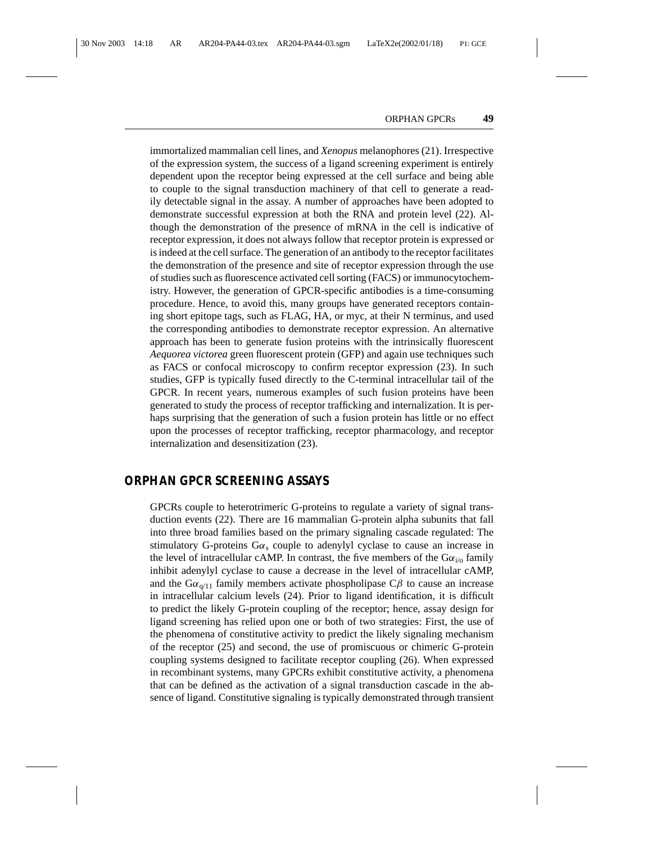immortalized mammalian cell lines, and *Xenopus* melanophores (21). Irrespective of the expression system, the success of a ligand screening experiment is entirely dependent upon the receptor being expressed at the cell surface and being able to couple to the signal transduction machinery of that cell to generate a readily detectable signal in the assay. A number of approaches have been adopted to demonstrate successful expression at both the RNA and protein level (22). Although the demonstration of the presence of mRNA in the cell is indicative of receptor expression, it does not always follow that receptor protein is expressed or is indeed at the cell surface. The generation of an antibody to the receptor facilitates the demonstration of the presence and site of receptor expression through the use of studies such as fluorescence activated cell sorting (FACS) or immunocytochemistry. However, the generation of GPCR-specific antibodies is a time-consuming procedure. Hence, to avoid this, many groups have generated receptors containing short epitope tags, such as FLAG, HA, or myc, at their N terminus, and used the corresponding antibodies to demonstrate receptor expression. An alternative approach has been to generate fusion proteins with the intrinsically fluorescent *Aequorea victorea* green fluorescent protein (GFP) and again use techniques such as FACS or confocal microscopy to confirm receptor expression (23). In such studies, GFP is typically fused directly to the C-terminal intracellular tail of the GPCR. In recent years, numerous examples of such fusion proteins have been generated to study the process of receptor trafficking and internalization. It is perhaps surprising that the generation of such a fusion protein has little or no effect upon the processes of receptor trafficking, receptor pharmacology, and receptor internalization and desensitization (23).

#### **ORPHAN GPCR SCREENING ASSAYS**

GPCRs couple to heterotrimeric G-proteins to regulate a variety of signal transduction events (22). There are 16 mammalian G-protein alpha subunits that fall into three broad families based on the primary signaling cascade regulated: The stimulatory G-proteins  $G\alpha_s$  couple to adenylyl cyclase to cause an increase in the level of intracellular cAMP. In contrast, the five members of the  $G\alpha_{i\alpha}$  family inhibit adenylyl cyclase to cause a decrease in the level of intracellular cAMP, and the  $Ga_{\alpha(1)}$  family members activate phospholipase C $\beta$  to cause an increase in intracellular calcium levels (24). Prior to ligand identification, it is difficult to predict the likely G-protein coupling of the receptor; hence, assay design for ligand screening has relied upon one or both of two strategies: First, the use of the phenomena of constitutive activity to predict the likely signaling mechanism of the receptor (25) and second, the use of promiscuous or chimeric G-protein coupling systems designed to facilitate receptor coupling (26). When expressed in recombinant systems, many GPCRs exhibit constitutive activity, a phenomena that can be defined as the activation of a signal transduction cascade in the absence of ligand. Constitutive signaling is typically demonstrated through transient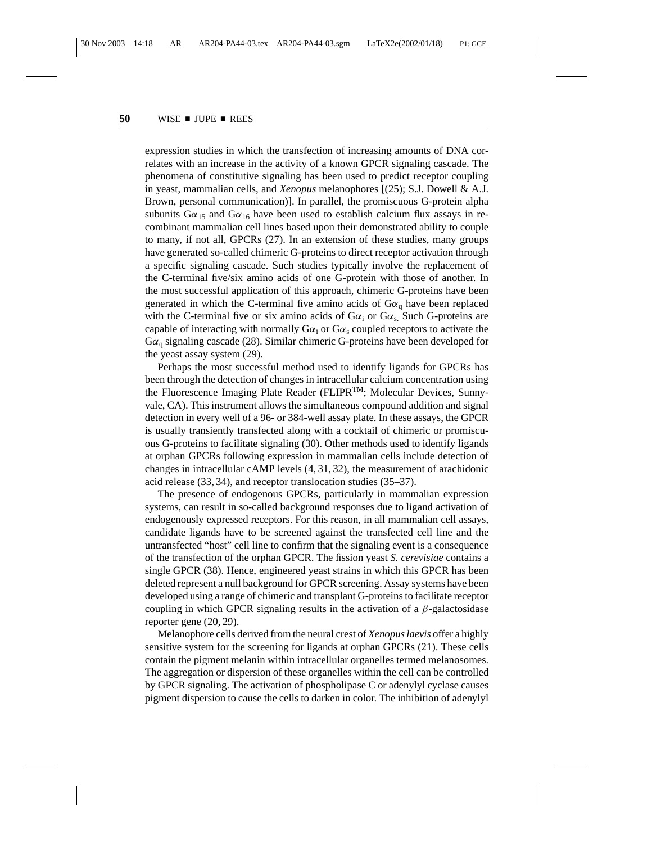expression studies in which the transfection of increasing amounts of DNA correlates with an increase in the activity of a known GPCR signaling cascade. The phenomena of constitutive signaling has been used to predict receptor coupling in yeast, mammalian cells, and *Xenopus* melanophores [(25); S.J. Dowell & A.J. Brown, personal communication)]. In parallel, the promiscuous G-protein alpha subunits  $G\alpha_{15}$  and  $G\alpha_{16}$  have been used to establish calcium flux assays in recombinant mammalian cell lines based upon their demonstrated ability to couple to many, if not all, GPCRs (27). In an extension of these studies, many groups have generated so-called chimeric G-proteins to direct receptor activation through a specific signaling cascade. Such studies typically involve the replacement of the C-terminal five/six amino acids of one G-protein with those of another. In the most successful application of this approach, chimeric G-proteins have been generated in which the C-terminal five amino acids of  $G\alpha_0$  have been replaced with the C-terminal five or six amino acids of  $G\alpha_i$  or  $G\alpha_s$ . Such G-proteins are capable of interacting with normally  $G\alpha_i$  or  $G\alpha_s$  coupled receptors to activate the  $G\alpha_{q}$  signaling cascade (28). Similar chimeric G-proteins have been developed for the yeast assay system (29).

Perhaps the most successful method used to identify ligands for GPCRs has been through the detection of changes in intracellular calcium concentration using the Fluorescence Imaging Plate Reader (FLIPRTM; Molecular Devices, Sunnyvale, CA). This instrument allows the simultaneous compound addition and signal detection in every well of a 96- or 384-well assay plate. In these assays, the GPCR is usually transiently transfected along with a cocktail of chimeric or promiscuous G-proteins to facilitate signaling (30). Other methods used to identify ligands at orphan GPCRs following expression in mammalian cells include detection of changes in intracellular cAMP levels (4, 31, 32), the measurement of arachidonic acid release (33, 34), and receptor translocation studies (35–37).

The presence of endogenous GPCRs, particularly in mammalian expression systems, can result in so-called background responses due to ligand activation of endogenously expressed receptors. For this reason, in all mammalian cell assays, candidate ligands have to be screened against the transfected cell line and the untransfected "host" cell line to confirm that the signaling event is a consequence of the transfection of the orphan GPCR. The fission yeast *S. cerevisiae* contains a single GPCR (38). Hence, engineered yeast strains in which this GPCR has been deleted represent a null background for GPCR screening. Assay systems have been developed using a range of chimeric and transplant G-proteins to facilitate receptor coupling in which GPCR signaling results in the activation of a  $\beta$ -galactosidase reporter gene (20, 29).

Melanophore cells derived from the neural crest of *Xenopus laevis* offer a highly sensitive system for the screening for ligands at orphan GPCRs (21). These cells contain the pigment melanin within intracellular organelles termed melanosomes. The aggregation or dispersion of these organelles within the cell can be controlled by GPCR signaling. The activation of phospholipase C or adenylyl cyclase causes pigment dispersion to cause the cells to darken in color. The inhibition of adenylyl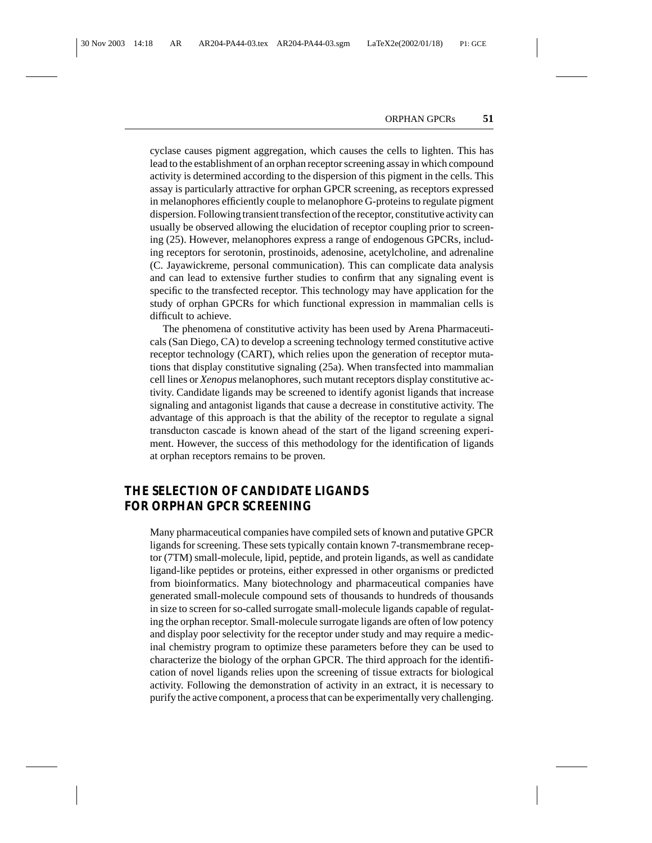cyclase causes pigment aggregation, which causes the cells to lighten. This has lead to the establishment of an orphan receptor screening assay in which compound activity is determined according to the dispersion of this pigment in the cells. This assay is particularly attractive for orphan GPCR screening, as receptors expressed in melanophores efficiently couple to melanophore G-proteins to regulate pigment dispersion. Following transient transfection of the receptor, constitutive activity can usually be observed allowing the elucidation of receptor coupling prior to screening (25). However, melanophores express a range of endogenous GPCRs, including receptors for serotonin, prostinoids, adenosine, acetylcholine, and adrenaline (C. Jayawickreme, personal communication). This can complicate data analysis and can lead to extensive further studies to confirm that any signaling event is specific to the transfected receptor. This technology may have application for the study of orphan GPCRs for which functional expression in mammalian cells is difficult to achieve.

The phenomena of constitutive activity has been used by Arena Pharmaceuticals (San Diego, CA) to develop a screening technology termed constitutive active receptor technology (CART), which relies upon the generation of receptor mutations that display constitutive signaling (25a). When transfected into mammalian cell lines or *Xenopus* melanophores, such mutant receptors display constitutive activity. Candidate ligands may be screened to identify agonist ligands that increase signaling and antagonist ligands that cause a decrease in constitutive activity. The advantage of this approach is that the ability of the receptor to regulate a signal transducton cascade is known ahead of the start of the ligand screening experiment. However, the success of this methodology for the identification of ligands at orphan receptors remains to be proven.

#### **THE SELECTION OF CANDIDATE LIGANDS FOR ORPHAN GPCR SCREENING**

Many pharmaceutical companies have compiled sets of known and putative GPCR ligands for screening. These sets typically contain known 7-transmembrane receptor (7TM) small-molecule, lipid, peptide, and protein ligands, as well as candidate ligand-like peptides or proteins, either expressed in other organisms or predicted from bioinformatics. Many biotechnology and pharmaceutical companies have generated small-molecule compound sets of thousands to hundreds of thousands in size to screen for so-called surrogate small-molecule ligands capable of regulating the orphan receptor. Small-molecule surrogate ligands are often of low potency and display poor selectivity for the receptor under study and may require a medicinal chemistry program to optimize these parameters before they can be used to characterize the biology of the orphan GPCR. The third approach for the identification of novel ligands relies upon the screening of tissue extracts for biological activity. Following the demonstration of activity in an extract, it is necessary to purify the active component, a process that can be experimentally very challenging.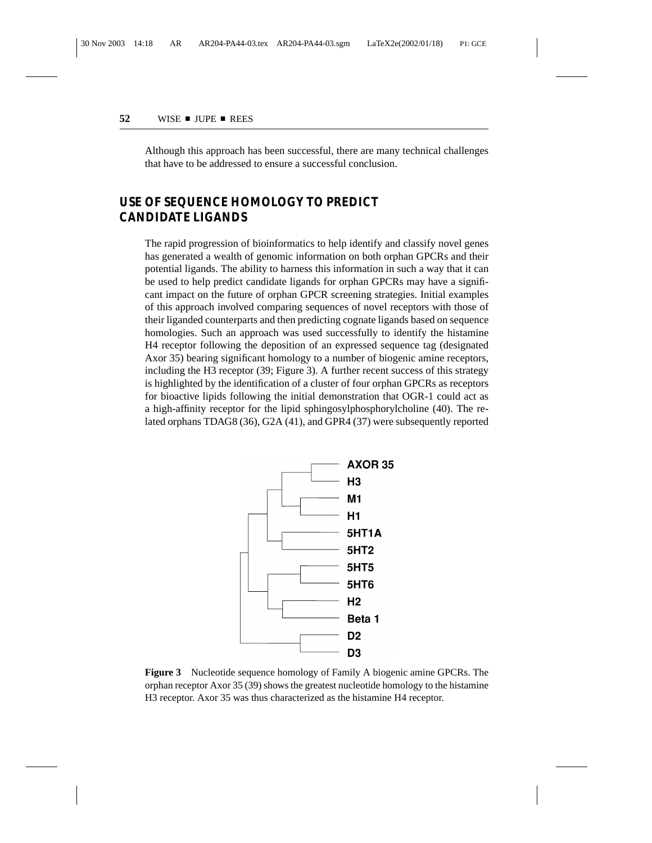Although this approach has been successful, there are many technical challenges that have to be addressed to ensure a successful conclusion.

## **USE OF SEQUENCE HOMOLOGY TO PREDICT CANDIDATE LIGANDS**

The rapid progression of bioinformatics to help identify and classify novel genes has generated a wealth of genomic information on both orphan GPCRs and their potential ligands. The ability to harness this information in such a way that it can be used to help predict candidate ligands for orphan GPCRs may have a significant impact on the future of orphan GPCR screening strategies. Initial examples of this approach involved comparing sequences of novel receptors with those of their liganded counterparts and then predicting cognate ligands based on sequence homologies. Such an approach was used successfully to identify the histamine H4 receptor following the deposition of an expressed sequence tag (designated Axor 35) bearing significant homology to a number of biogenic amine receptors, including the H3 receptor (39; Figure 3). A further recent success of this strategy is highlighted by the identification of a cluster of four orphan GPCRs as receptors for bioactive lipids following the initial demonstration that OGR-1 could act as a high-affinity receptor for the lipid sphingosylphosphorylcholine (40). The related orphans TDAG8 (36), G2A (41), and GPR4 (37) were subsequently reported



**Figure 3** Nucleotide sequence homology of Family A biogenic amine GPCRs. The orphan receptor Axor 35 (39) shows the greatest nucleotide homology to the histamine H3 receptor. Axor 35 was thus characterized as the histamine H4 receptor.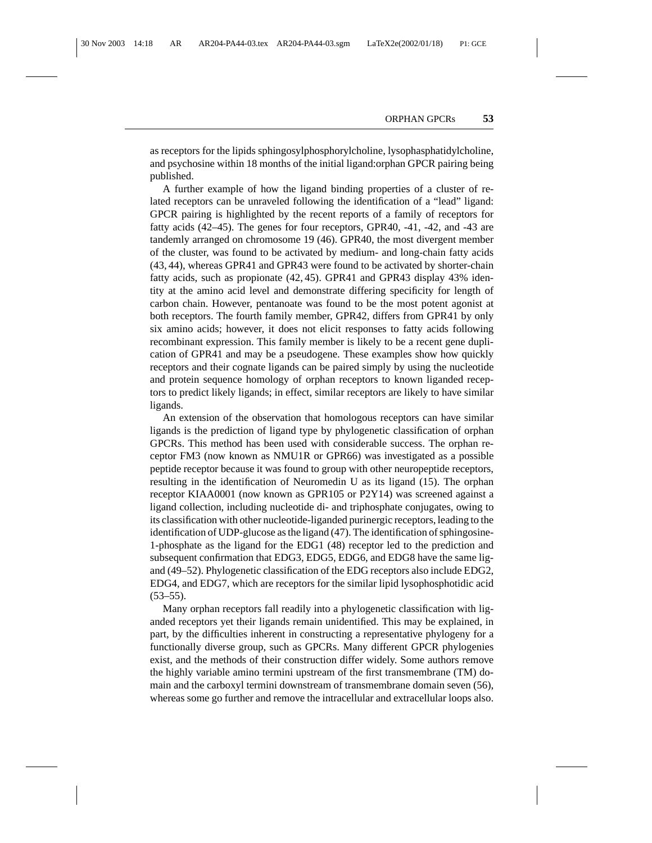as receptors for the lipids sphingosylphosphorylcholine, lysophasphatidylcholine, and psychosine within 18 months of the initial ligand:orphan GPCR pairing being published.

A further example of how the ligand binding properties of a cluster of related receptors can be unraveled following the identification of a "lead" ligand: GPCR pairing is highlighted by the recent reports of a family of receptors for fatty acids (42–45). The genes for four receptors, GPR40, -41, -42, and -43 are tandemly arranged on chromosome 19 (46). GPR40, the most divergent member of the cluster, was found to be activated by medium- and long-chain fatty acids (43, 44), whereas GPR41 and GPR43 were found to be activated by shorter-chain fatty acids, such as propionate (42, 45). GPR41 and GPR43 display 43% identity at the amino acid level and demonstrate differing specificity for length of carbon chain. However, pentanoate was found to be the most potent agonist at both receptors. The fourth family member, GPR42, differs from GPR41 by only six amino acids; however, it does not elicit responses to fatty acids following recombinant expression. This family member is likely to be a recent gene duplication of GPR41 and may be a pseudogene. These examples show how quickly receptors and their cognate ligands can be paired simply by using the nucleotide and protein sequence homology of orphan receptors to known liganded receptors to predict likely ligands; in effect, similar receptors are likely to have similar ligands.

An extension of the observation that homologous receptors can have similar ligands is the prediction of ligand type by phylogenetic classification of orphan GPCRs. This method has been used with considerable success. The orphan receptor FM3 (now known as NMU1R or GPR66) was investigated as a possible peptide receptor because it was found to group with other neuropeptide receptors, resulting in the identification of Neuromedin U as its ligand (15). The orphan receptor KIAA0001 (now known as GPR105 or P2Y14) was screened against a ligand collection, including nucleotide di- and triphosphate conjugates, owing to its classification with other nucleotide-liganded purinergic receptors, leading to the identification of UDP-glucose as the ligand (47). The identification of sphingosine-1-phosphate as the ligand for the EDG1 (48) receptor led to the prediction and subsequent confirmation that EDG3, EDG5, EDG6, and EDG8 have the same ligand (49–52). Phylogenetic classification of the EDG receptors also include EDG2, EDG4, and EDG7, which are receptors for the similar lipid lysophosphotidic acid  $(53-55)$ .

Many orphan receptors fall readily into a phylogenetic classification with liganded receptors yet their ligands remain unidentified. This may be explained, in part, by the difficulties inherent in constructing a representative phylogeny for a functionally diverse group, such as GPCRs. Many different GPCR phylogenies exist, and the methods of their construction differ widely. Some authors remove the highly variable amino termini upstream of the first transmembrane (TM) domain and the carboxyl termini downstream of transmembrane domain seven (56), whereas some go further and remove the intracellular and extracellular loops also.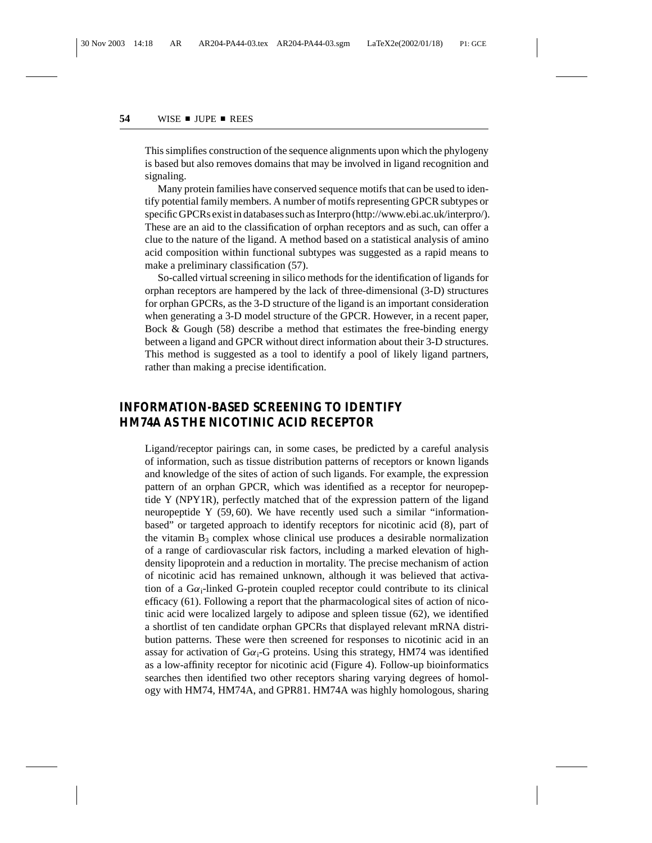This simplifies construction of the sequence alignments upon which the phylogeny is based but also removes domains that may be involved in ligand recognition and signaling.

Many protein families have conserved sequence motifs that can be used to identify potential family members. A number of motifs representing GPCR subtypes or specific GPCRs exist in databases such as Interpro (http://www.ebi.ac.uk/interpro/). These are an aid to the classification of orphan receptors and as such, can offer a clue to the nature of the ligand. A method based on a statistical analysis of amino acid composition within functional subtypes was suggested as a rapid means to make a preliminary classification (57).

So-called virtual screening in silico methods for the identification of ligands for orphan receptors are hampered by the lack of three-dimensional (3-D) structures for orphan GPCRs, as the 3-D structure of the ligand is an important consideration when generating a 3-D model structure of the GPCR. However, in a recent paper, Bock & Gough (58) describe a method that estimates the free-binding energy between a ligand and GPCR without direct information about their 3-D structures. This method is suggested as a tool to identify a pool of likely ligand partners, rather than making a precise identification.

## **INFORMATION-BASED SCREENING TO IDENTIFY HM74A AS THE NICOTINIC ACID RECEPTOR**

Ligand/receptor pairings can, in some cases, be predicted by a careful analysis of information, such as tissue distribution patterns of receptors or known ligands and knowledge of the sites of action of such ligands. For example, the expression pattern of an orphan GPCR, which was identified as a receptor for neuropeptide Y (NPY1R), perfectly matched that of the expression pattern of the ligand neuropeptide Y (59, 60). We have recently used such a similar "informationbased" or targeted approach to identify receptors for nicotinic acid (8), part of the vitamin  $B_3$  complex whose clinical use produces a desirable normalization of a range of cardiovascular risk factors, including a marked elevation of highdensity lipoprotein and a reduction in mortality. The precise mechanism of action of nicotinic acid has remained unknown, although it was believed that activation of a  $Ga_i$ -linked G-protein coupled receptor could contribute to its clinical efficacy (61). Following a report that the pharmacological sites of action of nicotinic acid were localized largely to adipose and spleen tissue (62), we identified a shortlist of ten candidate orphan GPCRs that displayed relevant mRNA distribution patterns. These were then screened for responses to nicotinic acid in an assay for activation of  $Ga<sub>i</sub>-G$  proteins. Using this strategy, HM74 was identified as a low-affinity receptor for nicotinic acid (Figure 4). Follow-up bioinformatics searches then identified two other receptors sharing varying degrees of homology with HM74, HM74A, and GPR81. HM74A was highly homologous, sharing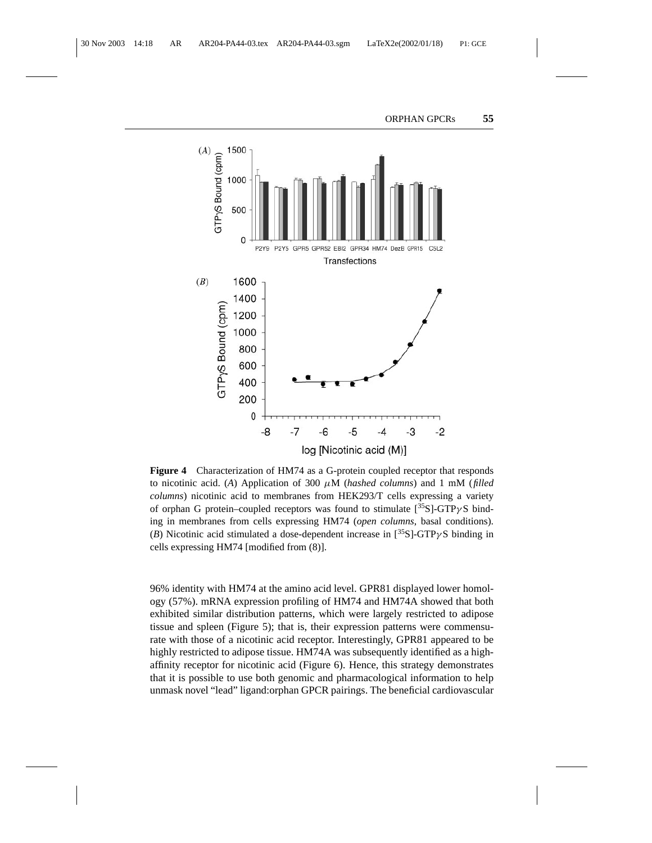

**Figure 4** Characterization of HM74 as a G-protein coupled receptor that responds to nicotinic acid. (*A*) Application of 300 µM (*hashed columns*) and 1 mM (*filled columns*) nicotinic acid to membranes from HEK293/T cells expressing a variety of orphan G protein–coupled receptors was found to stimulate  $[^{35}S]$ -GTP $\gamma S$  binding in membranes from cells expressing HM74 (*open columns*, basal conditions). (*B*) Nicotinic acid stimulated a dose-dependent increase in  $[35S]$ -GTP $\gamma$ S binding in cells expressing HM74 [modified from (8)].

96% identity with HM74 at the amino acid level. GPR81 displayed lower homology (57%). mRNA expression profiling of HM74 and HM74A showed that both exhibited similar distribution patterns, which were largely restricted to adipose tissue and spleen (Figure 5); that is, their expression patterns were commensurate with those of a nicotinic acid receptor. Interestingly, GPR81 appeared to be highly restricted to adipose tissue. HM74A was subsequently identified as a highaffinity receptor for nicotinic acid (Figure 6). Hence, this strategy demonstrates that it is possible to use both genomic and pharmacological information to help unmask novel "lead" ligand:orphan GPCR pairings. The beneficial cardiovascular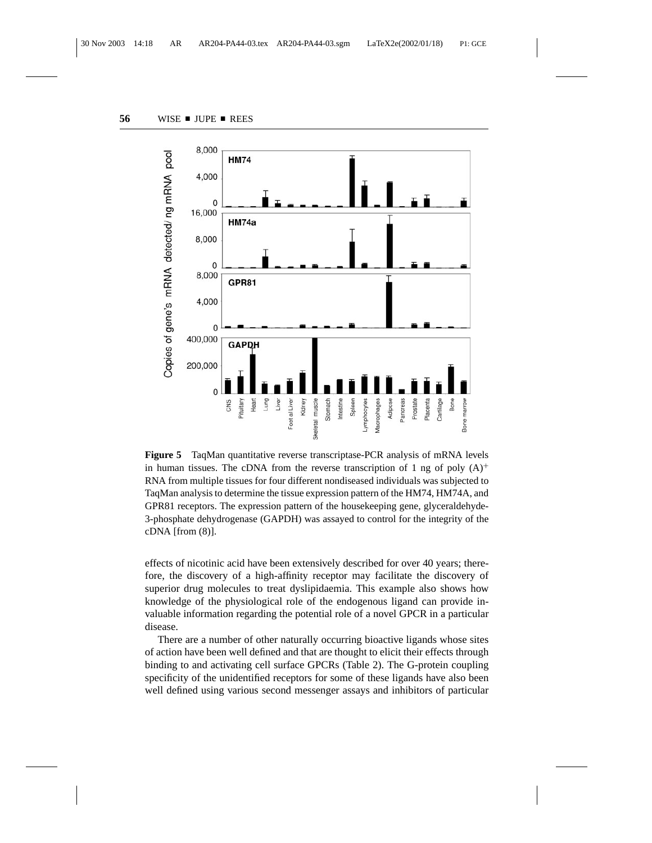

**Figure 5** TaqMan quantitative reverse transcriptase-PCR analysis of mRNA levels in human tissues. The cDNA from the reverse transcription of 1 ng of poly  $(A)^+$ RNA from multiple tissues for four different nondiseased individuals was subjected to TaqMan analysis to determine the tissue expression pattern of the HM74, HM74A, and GPR81 receptors. The expression pattern of the housekeeping gene, glyceraldehyde-3-phosphate dehydrogenase (GAPDH) was assayed to control for the integrity of the cDNA [from (8)].

effects of nicotinic acid have been extensively described for over 40 years; therefore, the discovery of a high-affinity receptor may facilitate the discovery of superior drug molecules to treat dyslipidaemia. This example also shows how knowledge of the physiological role of the endogenous ligand can provide invaluable information regarding the potential role of a novel GPCR in a particular disease.

There are a number of other naturally occurring bioactive ligands whose sites of action have been well defined and that are thought to elicit their effects through binding to and activating cell surface GPCRs (Table 2). The G-protein coupling specificity of the unidentified receptors for some of these ligands have also been well defined using various second messenger assays and inhibitors of particular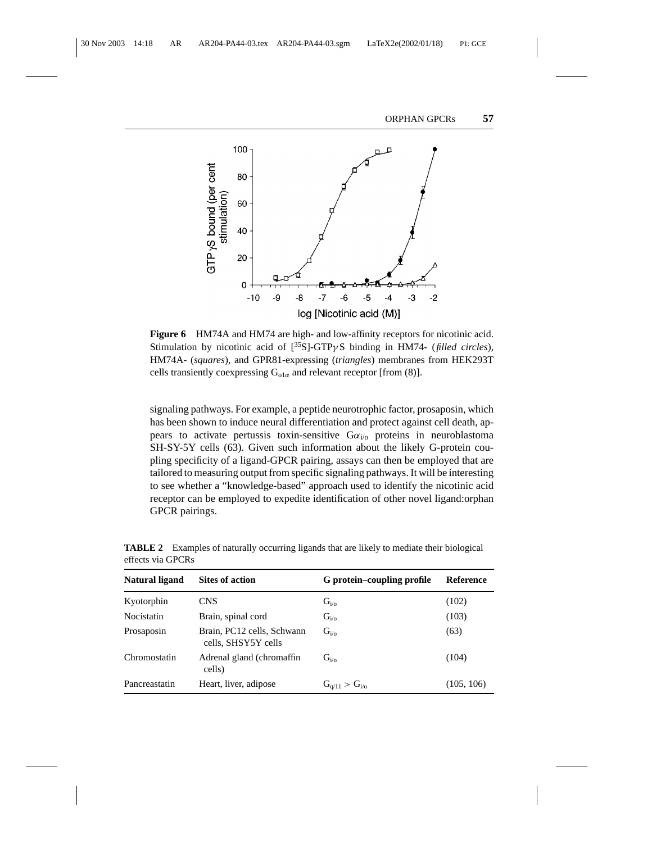

**Figure 6** HM74A and HM74 are high- and low-affinity receptors for nicotinic acid. Stimulation by nicotinic acid of [35S]-GTPγ S binding in HM74- (*filled circles*), HM74A- (*squares*), and GPR81-expressing (*triangles*) membranes from HEK293T cells transiently coexpressing  $G_{01\alpha}$  and relevant receptor [from (8)].

signaling pathways. For example, a peptide neurotrophic factor, prosaposin, which has been shown to induce neural differentiation and protect against cell death, appears to activate pertussis toxin-sensitive  $G\alpha_{i\alpha}$  proteins in neuroblastoma SH-SY-5Y cells (63). Given such information about the likely G-protein coupling specificity of a ligand-GPCR pairing, assays can then be employed that are tailored to measuring output from specific signaling pathways. It will be interesting to see whether a "knowledge-based" approach used to identify the nicotinic acid receptor can be employed to expedite identification of other novel ligand:orphan GPCR pairings.

| <b>Natural ligand</b> | <b>Sites of action</b>                            | G protein-coupling profile | <b>Reference</b> |
|-----------------------|---------------------------------------------------|----------------------------|------------------|
| Kyotorphin            | <b>CNS</b>                                        | $G_{i/o}$                  | (102)            |
| <b>Nocistatin</b>     | Brain, spinal cord                                | $G_{i/o}$                  | (103)            |
| Prosaposin            | Brain, PC12 cells, Schwann<br>cells, SHSY5Y cells | $G_{i/\alpha}$             | (63)             |
| Chromostatin          | Adrenal gland (chromaffin<br>cells)               | $G_{i/\alpha}$             | (104)            |
| Pancreastatin         | Heart, liver, adipose                             | $G_{q/11} > G_{i/0}$       | (105, 106)       |

**TABLE 2** Examples of naturally occurring ligands that are likely to mediate their biological effects via GPCRs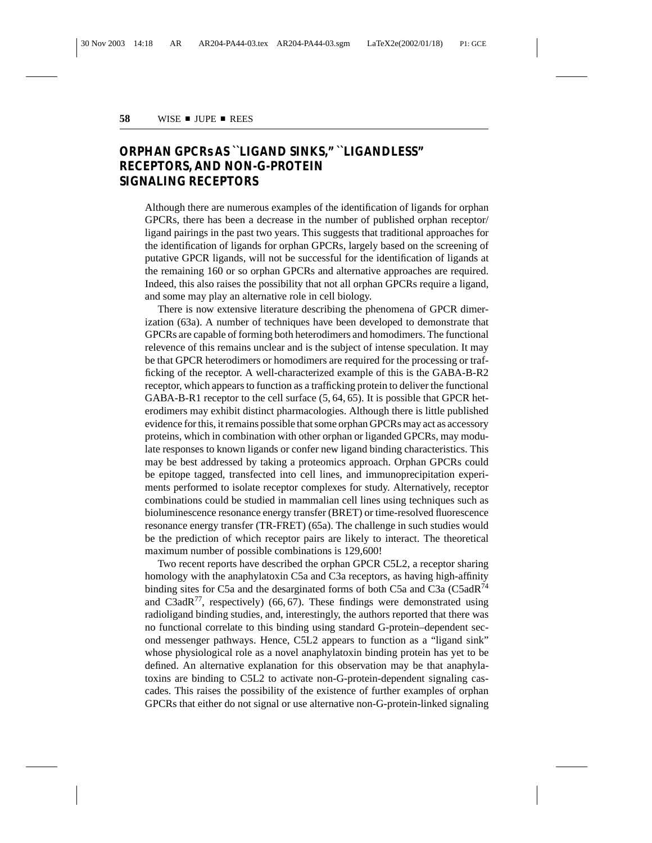## **ORPHAN GPCRs AS ``LIGAND SINKS," ``LIGANDLESS" RECEPTORS, AND NON-G-PROTEIN SIGNALING RECEPTORS**

Although there are numerous examples of the identification of ligands for orphan GPCRs, there has been a decrease in the number of published orphan receptor/ ligand pairings in the past two years. This suggests that traditional approaches for the identification of ligands for orphan GPCRs, largely based on the screening of putative GPCR ligands, will not be successful for the identification of ligands at the remaining 160 or so orphan GPCRs and alternative approaches are required. Indeed, this also raises the possibility that not all orphan GPCRs require a ligand, and some may play an alternative role in cell biology.

There is now extensive literature describing the phenomena of GPCR dimerization (63a). A number of techniques have been developed to demonstrate that GPCRs are capable of forming both heterodimers and homodimers. The functional relevence of this remains unclear and is the subject of intense speculation. It may be that GPCR heterodimers or homodimers are required for the processing or trafficking of the receptor. A well-characterized example of this is the GABA-B-R2 receptor, which appears to function as a trafficking protein to deliver the functional GABA-B-R1 receptor to the cell surface (5, 64, 65). It is possible that GPCR heterodimers may exhibit distinct pharmacologies. Although there is little published evidence for this, it remains possible that some orphan GPCRs may act as accessory proteins, which in combination with other orphan or liganded GPCRs, may modulate responses to known ligands or confer new ligand binding characteristics. This may be best addressed by taking a proteomics approach. Orphan GPCRs could be epitope tagged, transfected into cell lines, and immunoprecipitation experiments performed to isolate receptor complexes for study. Alternatively, receptor combinations could be studied in mammalian cell lines using techniques such as bioluminescence resonance energy transfer (BRET) or time-resolved fluorescence resonance energy transfer (TR-FRET) (65a). The challenge in such studies would be the prediction of which receptor pairs are likely to interact. The theoretical maximum number of possible combinations is 129,600!

Two recent reports have described the orphan GPCR C5L2, a receptor sharing homology with the anaphylatoxin C5a and C3a receptors, as having high-affinity binding sites for C5a and the desarginated forms of both C5a and C3a (C5adR<sup>74</sup> and C3adR<sup>77</sup>, respectively) (66, 67). These findings were demonstrated using radioligand binding studies, and, interestingly, the authors reported that there was no functional correlate to this binding using standard G-protein–dependent second messenger pathways. Hence, C5L2 appears to function as a "ligand sink" whose physiological role as a novel anaphylatoxin binding protein has yet to be defined. An alternative explanation for this observation may be that anaphylatoxins are binding to C5L2 to activate non-G-protein-dependent signaling cascades. This raises the possibility of the existence of further examples of orphan GPCRs that either do not signal or use alternative non-G-protein-linked signaling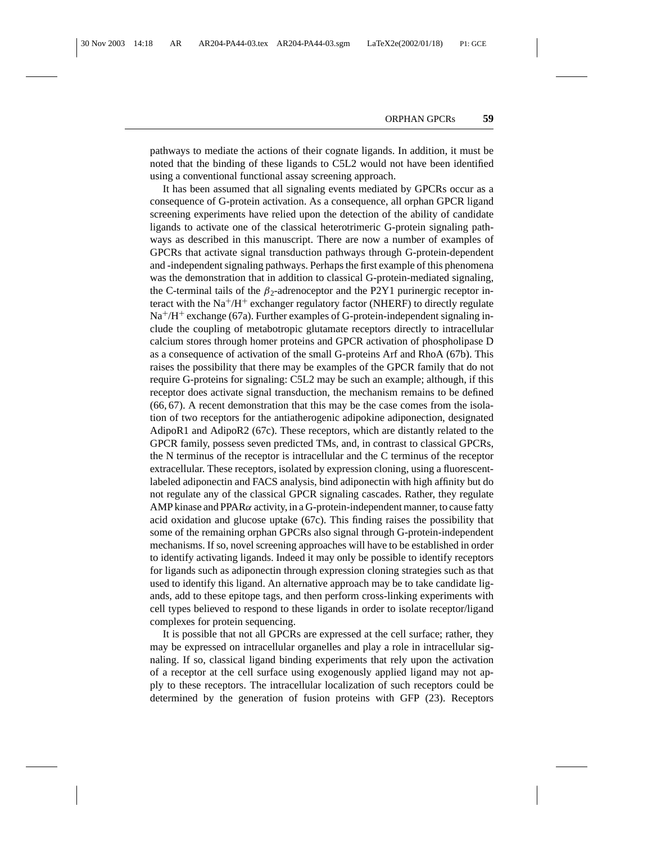pathways to mediate the actions of their cognate ligands. In addition, it must be noted that the binding of these ligands to C5L2 would not have been identified using a conventional functional assay screening approach.

It has been assumed that all signaling events mediated by GPCRs occur as a consequence of G-protein activation. As a consequence, all orphan GPCR ligand screening experiments have relied upon the detection of the ability of candidate ligands to activate one of the classical heterotrimeric G-protein signaling pathways as described in this manuscript. There are now a number of examples of GPCRs that activate signal transduction pathways through G-protein-dependent and -independent signaling pathways. Perhaps the first example of this phenomena was the demonstration that in addition to classical G-protein-mediated signaling, the C-terminal tails of the  $\beta_2$ -adrenoceptor and the P2Y1 purinergic receptor interact with the  $Na^{+}/H^{+}$  exchanger regulatory factor (NHERF) to directly regulate  $Na<sup>+</sup>/H<sup>+</sup> exchange (67a)$ . Further examples of G-protein-independent signaling include the coupling of metabotropic glutamate receptors directly to intracellular calcium stores through homer proteins and GPCR activation of phospholipase D as a consequence of activation of the small G-proteins Arf and RhoA (67b). This raises the possibility that there may be examples of the GPCR family that do not require G-proteins for signaling: C5L2 may be such an example; although, if this receptor does activate signal transduction, the mechanism remains to be defined (66, 67). A recent demonstration that this may be the case comes from the isolation of two receptors for the antiatherogenic adipokine adiponection, designated AdipoR1 and AdipoR2 (67c). These receptors, which are distantly related to the GPCR family, possess seven predicted TMs, and, in contrast to classical GPCRs, the N terminus of the receptor is intracellular and the C terminus of the receptor extracellular. These receptors, isolated by expression cloning, using a fluorescentlabeled adiponectin and FACS analysis, bind adiponectin with high affinity but do not regulate any of the classical GPCR signaling cascades. Rather, they regulate AMP kinase and  $PPAR\alpha$  activity, in a G-protein-independent manner, to cause fatty acid oxidation and glucose uptake (67c). This finding raises the possibility that some of the remaining orphan GPCRs also signal through G-protein-independent mechanisms. If so, novel screening approaches will have to be established in order to identify activating ligands. Indeed it may only be possible to identify receptors for ligands such as adiponectin through expression cloning strategies such as that used to identify this ligand. An alternative approach may be to take candidate ligands, add to these epitope tags, and then perform cross-linking experiments with cell types believed to respond to these ligands in order to isolate receptor/ligand complexes for protein sequencing.

It is possible that not all GPCRs are expressed at the cell surface; rather, they may be expressed on intracellular organelles and play a role in intracellular signaling. If so, classical ligand binding experiments that rely upon the activation of a receptor at the cell surface using exogenously applied ligand may not apply to these receptors. The intracellular localization of such receptors could be determined by the generation of fusion proteins with GFP (23). Receptors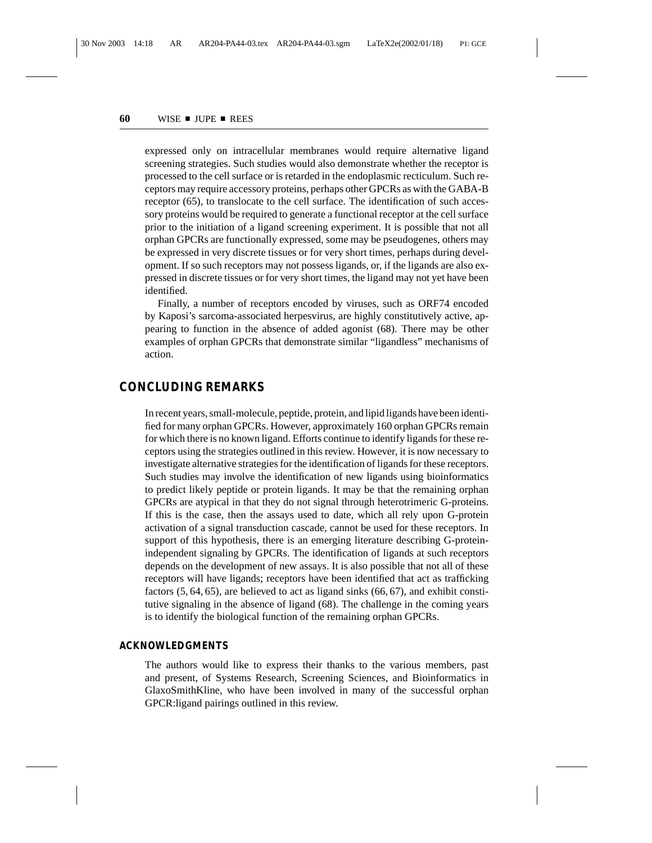expressed only on intracellular membranes would require alternative ligand screening strategies. Such studies would also demonstrate whether the receptor is processed to the cell surface or is retarded in the endoplasmic recticulum. Such receptors may require accessory proteins, perhaps other GPCRs as with the GABA-B receptor (65), to translocate to the cell surface. The identification of such accessory proteins would be required to generate a functional receptor at the cell surface prior to the initiation of a ligand screening experiment. It is possible that not all orphan GPCRs are functionally expressed, some may be pseudogenes, others may be expressed in very discrete tissues or for very short times, perhaps during development. If so such receptors may not possess ligands, or, if the ligands are also expressed in discrete tissues or for very short times, the ligand may not yet have been identified.

Finally, a number of receptors encoded by viruses, such as ORF74 encoded by Kaposi's sarcoma-associated herpesvirus, are highly constitutively active, appearing to function in the absence of added agonist (68). There may be other examples of orphan GPCRs that demonstrate similar "ligandless" mechanisms of action.

#### **CONCLUDING REMARKS**

In recent years, small-molecule, peptide, protein, and lipid ligands have been identified for many orphan GPCRs. However, approximately 160 orphan GPCRs remain for which there is no known ligand. Efforts continue to identify ligands for these receptors using the strategies outlined in this review. However, it is now necessary to investigate alternative strategies for the identification of ligands for these receptors. Such studies may involve the identification of new ligands using bioinformatics to predict likely peptide or protein ligands. It may be that the remaining orphan GPCRs are atypical in that they do not signal through heterotrimeric G-proteins. If this is the case, then the assays used to date, which all rely upon G-protein activation of a signal transduction cascade, cannot be used for these receptors. In support of this hypothesis, there is an emerging literature describing G-proteinindependent signaling by GPCRs. The identification of ligands at such receptors depends on the development of new assays. It is also possible that not all of these receptors will have ligands; receptors have been identified that act as trafficking factors (5, 64, 65), are believed to act as ligand sinks (66, 67), and exhibit constitutive signaling in the absence of ligand (68). The challenge in the coming years is to identify the biological function of the remaining orphan GPCRs.

#### **ACKNOWLEDGMENTS**

The authors would like to express their thanks to the various members, past and present, of Systems Research, Screening Sciences, and Bioinformatics in GlaxoSmithKline, who have been involved in many of the successful orphan GPCR:ligand pairings outlined in this review.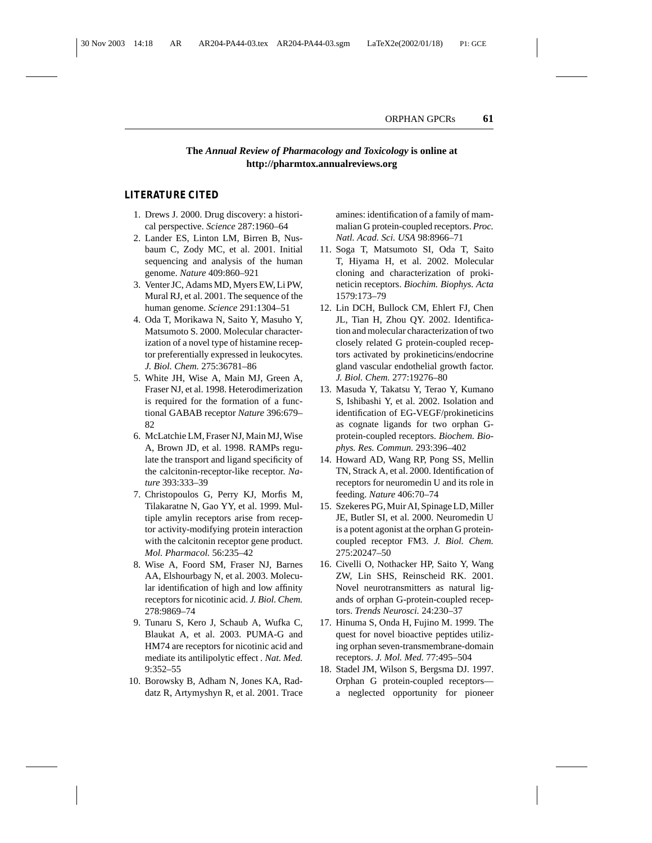#### **The** *Annual Review of Pharmacology and Toxicology* **is online at http://pharmtox.annualreviews.org**

#### **LITERATURE CITED**

- 1. Drews J. 2000. Drug discovery: a historical perspective. *Science* 287:1960–64
- 2. Lander ES, Linton LM, Birren B, Nusbaum C, Zody MC, et al. 2001. Initial sequencing and analysis of the human genome. *Nature* 409:860–921
- 3. Venter JC, Adams MD, Myers EW, Li PW, Mural RJ, et al. 2001. The sequence of the human genome. *Science* 291:1304–51
- 4. Oda T, Morikawa N, Saito Y, Masuho Y, Matsumoto S. 2000. Molecular characterization of a novel type of histamine receptor preferentially expressed in leukocytes. *J. Biol. Chem.* 275:36781–86
- 5. White JH, Wise A, Main MJ, Green A, Fraser NJ, et al. 1998. Heterodimerization is required for the formation of a functional GABAB receptor *Nature* 396:679– 82
- 6. McLatchie LM, Fraser NJ, Main MJ, Wise A, Brown JD, et al. 1998. RAMPs regulate the transport and ligand specificity of the calcitonin-receptor-like receptor. *Nature* 393:333–39
- 7. Christopoulos G, Perry KJ, Morfis M, Tilakaratne N, Gao YY, et al. 1999. Multiple amylin receptors arise from receptor activity-modifying protein interaction with the calcitonin receptor gene product. *Mol. Pharmacol.* 56:235–42
- 8. Wise A, Foord SM, Fraser NJ, Barnes AA, Elshourbagy N, et al. 2003. Molecular identification of high and low affinity receptors for nicotinic acid. *J. Biol. Chem.* 278:9869–74
- 9. Tunaru S, Kero J, Schaub A, Wufka C, Blaukat A, et al. 2003. PUMA-G and HM74 are receptors for nicotinic acid and mediate its antilipolytic effect *. Nat. Med.* 9:352–55
- 10. Borowsky B, Adham N, Jones KA, Raddatz R, Artymyshyn R, et al. 2001. Trace

amines: identification of a family of mammalian G protein-coupled receptors. *Proc. Natl. Acad. Sci. USA* 98:8966–71

- 11. Soga T, Matsumoto SI, Oda T, Saito T, Hiyama H, et al. 2002. Molecular cloning and characterization of prokineticin receptors. *Biochim. Biophys. Acta* 1579:173–79
- 12. Lin DCH, Bullock CM, Ehlert FJ, Chen JL, Tian H, Zhou QY. 2002. Identification and molecular characterization of two closely related G protein-coupled receptors activated by prokineticins/endocrine gland vascular endothelial growth factor. *J. Biol. Chem.* 277:19276–80
- 13. Masuda Y, Takatsu Y, Terao Y, Kumano S, Ishibashi Y, et al. 2002. Isolation and identification of EG-VEGF/prokineticins as cognate ligands for two orphan Gprotein-coupled receptors. *Biochem. Biophys. Res. Commun.* 293:396–402
- 14. Howard AD, Wang RP, Pong SS, Mellin TN, Strack A, et al. 2000. Identification of receptors for neuromedin U and its role in feeding. *Nature* 406:70–74
- 15. Szekeres PG, Muir AI, Spinage LD, Miller JE, Butler SI, et al. 2000. Neuromedin U is a potent agonist at the orphan G proteincoupled receptor FM3. *J. Biol. Chem.* 275:20247–50
- 16. Civelli O, Nothacker HP, Saito Y, Wang ZW, Lin SHS, Reinscheid RK. 2001. Novel neurotransmitters as natural ligands of orphan G-protein-coupled receptors. *Trends Neurosci.* 24:230–37
- 17. Hinuma S, Onda H, Fujino M. 1999. The quest for novel bioactive peptides utilizing orphan seven-transmembrane-domain receptors. *J. Mol. Med.* 77:495–504
- 18. Stadel JM, Wilson S, Bergsma DJ. 1997. Orphan G protein-coupled receptors a neglected opportunity for pioneer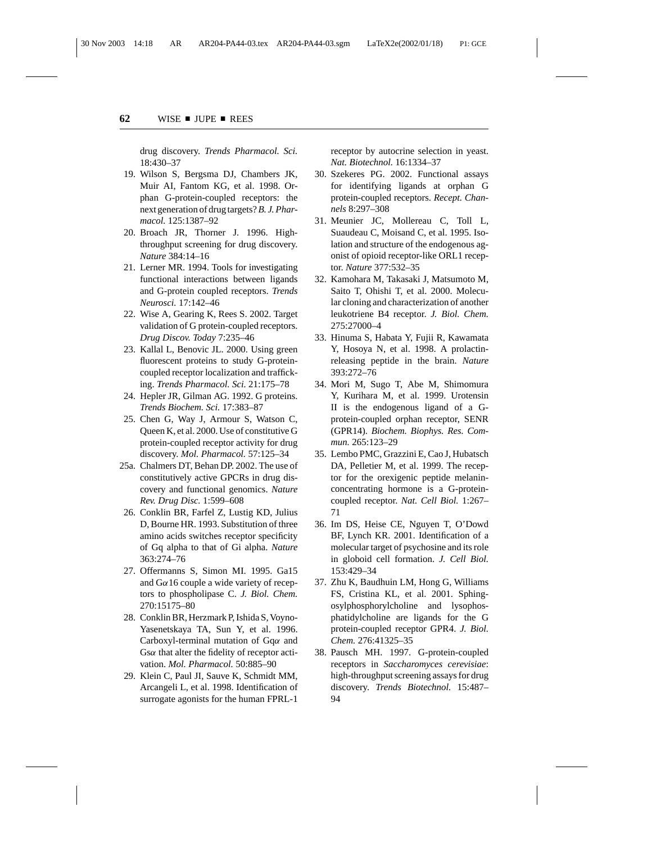drug discovery. *Trends Pharmacol. Sci.* 18:430–37

- 19. Wilson S, Bergsma DJ, Chambers JK, Muir AI, Fantom KG, et al. 1998. Orphan G-protein-coupled receptors: the next generation of drug targets?*B. J. Pharmacol.* 125:1387–92
- 20. Broach JR, Thorner J. 1996. Highthroughput screening for drug discovery. *Nature* 384:14–16
- 21. Lerner MR. 1994. Tools for investigating functional interactions between ligands and G-protein coupled receptors. *Trends Neurosci.* 17:142–46
- 22. Wise A, Gearing K, Rees S. 2002. Target validation of G protein-coupled receptors. *Drug Discov. Today* 7:235–46
- 23. Kallal L, Benovic JL. 2000. Using green fluorescent proteins to study G-proteincoupled receptor localization and trafficking. *Trends Pharmacol. Sci.* 21:175–78
- 24. Hepler JR, Gilman AG. 1992. G proteins. *Trends Biochem. Sci.* 17:383–87
- 25. Chen G, Way J, Armour S, Watson C, Queen K, et al. 2000. Use of constitutive G protein-coupled receptor activity for drug discovery. *Mol. Pharmacol.* 57:125–34
- 25a. Chalmers DT, Behan DP. 2002. The use of constitutively active GPCRs in drug discovery and functional genomics. *Nature Rev. Drug Disc.* 1:599–608
- 26. Conklin BR, Farfel Z, Lustig KD, Julius D, Bourne HR. 1993. Substitution of three amino acids switches receptor specificity of Gq alpha to that of Gi alpha. *Nature* 363:274–76
- 27. Offermanns S, Simon MI. 1995. Ga15 and  $G\alpha$ 16 couple a wide variety of receptors to phospholipase C. *J. Biol. Chem.* 270:15175–80
- 28. Conklin BR, Herzmark P, Ishida S, Voyno-Yasenetskaya TA, Sun Y, et al. 1996. Carboxyl-terminal mutation of Gqα and Gsα that alter the fidelity of receptor activation. *Mol. Pharmacol.* 50:885–90
- 29. Klein C, Paul JI, Sauve K, Schmidt MM, Arcangeli L, et al. 1998. Identification of surrogate agonists for the human FPRL-1

receptor by autocrine selection in yeast. *Nat. Biotechnol.* 16:1334–37

- 30. Szekeres PG. 2002. Functional assays for identifying ligands at orphan G protein-coupled receptors. *Recept. Channels* 8:297–308
- 31. Meunier JC, Mollereau C, Toll L, Suaudeau C, Moisand C, et al. 1995. Isolation and structure of the endogenous agonist of opioid receptor-like ORL1 receptor. *Nature* 377:532–35
- 32. Kamohara M, Takasaki J, Matsumoto M, Saito T, Ohishi T, et al. 2000. Molecular cloning and characterization of another leukotriene B4 receptor. *J. Biol. Chem.* 275:27000–4
- 33. Hinuma S, Habata Y, Fujii R, Kawamata Y, Hosoya N, et al. 1998. A prolactinreleasing peptide in the brain. *Nature* 393:272–76
- 34. Mori M, Sugo T, Abe M, Shimomura Y, Kurihara M, et al. 1999. Urotensin II is the endogenous ligand of a Gprotein-coupled orphan receptor, SENR (GPR14). *Biochem. Biophys. Res. Commun.* 265:123–29
- 35. Lembo PMC, Grazzini E, Cao J, Hubatsch DA, Pelletier M, et al. 1999. The receptor for the orexigenic peptide melaninconcentrating hormone is a G-proteincoupled receptor. *Nat. Cell Biol.* 1:267– 71
- 36. Im DS, Heise CE, Nguyen T, O'Dowd BF, Lynch KR. 2001. Identification of a molecular target of psychosine and its role in globoid cell formation. *J. Cell Biol.* 153:429–34
- 37. Zhu K, Baudhuin LM, Hong G, Williams FS, Cristina KL, et al. 2001. Sphingosylphosphorylcholine and lysophosphatidylcholine are ligands for the G protein-coupled receptor GPR4. *J. Biol. Chem.* 276:41325–35
- 38. Pausch MH. 1997. G-protein-coupled receptors in *Saccharomyces cerevisiae*: high-throughput screening assays for drug discovery. *Trends Biotechnol.* 15:487– 94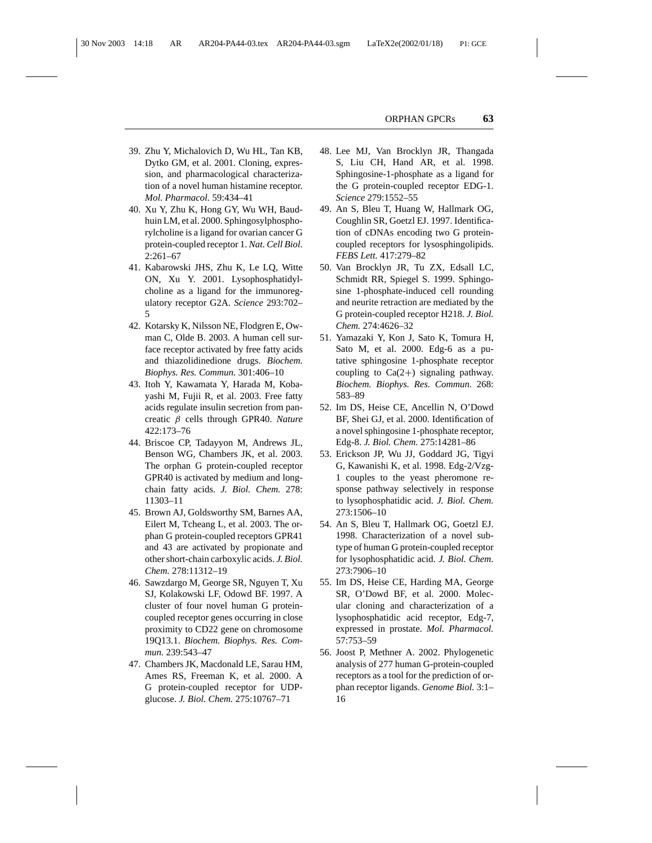- 39. Zhu Y, Michalovich D, Wu HL, Tan KB, Dytko GM, et al. 2001. Cloning, expression, and pharmacological characterization of a novel human histamine receptor. *Mol. Pharmacol.* 59:434–41
- 40. Xu Y, Zhu K, Hong GY, Wu WH, Baudhuin LM, et al. 2000. Sphingosylphosphorylcholine is a ligand for ovarian cancer G protein-coupled receptor 1. *Nat. Cell Biol.* 2:261–67
- 41. Kabarowski JHS, Zhu K, Le LQ, Witte ON, Xu Y. 2001. Lysophosphatidylcholine as a ligand for the immunoregulatory receptor G2A. *Science* 293:702– 5
- 42. Kotarsky K, Nilsson NE, Flodgren E, Owman C, Olde B. 2003. A human cell surface receptor activated by free fatty acids and thiazolidinedione drugs. *Biochem. Biophys. Res. Commun.* 301:406–10
- 43. Itoh Y, Kawamata Y, Harada M, Kobayashi M, Fujii R, et al. 2003. Free fatty acids regulate insulin secretion from pancreatic β cells through GPR40. *Nature* 422:173–76
- 44. Briscoe CP, Tadayyon M, Andrews JL, Benson WG, Chambers JK, et al. 2003. The orphan G protein-coupled receptor GPR40 is activated by medium and longchain fatty acids. *J. Biol. Chem.* 278: 11303–11
- 45. Brown AJ, Goldsworthy SM, Barnes AA, Eilert M, Tcheang L, et al. 2003. The orphan G protein-coupled receptors GPR41 and 43 are activated by propionate and other short-chain carboxylic acids. *J. Biol. Chem.* 278:11312–19
- 46. Sawzdargo M, George SR, Nguyen T, Xu SJ, Kolakowski LF, Odowd BF. 1997. A cluster of four novel human G proteincoupled receptor genes occurring in close proximity to CD22 gene on chromosome 19Q13.1. *Biochem. Biophys. Res. Commun.* 239:543–47
- 47. Chambers JK, Macdonald LE, Sarau HM, Ames RS, Freeman K, et al. 2000. A G protein-coupled receptor for UDPglucose. *J. Biol. Chem.* 275:10767–71
- 48. Lee MJ, Van Brocklyn JR, Thangada S, Liu CH, Hand AR, et al. 1998. Sphingosine-1-phosphate as a ligand for the G protein-coupled receptor EDG-1. *Science* 279:1552–55
- 49. An S, Bleu T, Huang W, Hallmark OG, Coughlin SR, Goetzl EJ. 1997. Identification of cDNAs encoding two G proteincoupled receptors for lysosphingolipids. *FEBS Lett.* 417:279–82
- 50. Van Brocklyn JR, Tu ZX, Edsall LC, Schmidt RR, Spiegel S. 1999. Sphingosine 1-phosphate-induced cell rounding and neurite retraction are mediated by the G protein-coupled receptor H218. *J. Biol. Chem.* 274:4626–32
- 51. Yamazaki Y, Kon J, Sato K, Tomura H, Sato M, et al. 2000. Edg-6 as a putative sphingosine 1-phosphate receptor coupling to  $Ca(2+)$  signaling pathway. *Biochem. Biophys. Res. Commun.* 268: 583–89
- 52. Im DS, Heise CE, Ancellin N, O'Dowd BF, Shei GJ, et al. 2000. Identification of a novel sphingosine 1-phosphate receptor, Edg-8. *J. Biol. Chem.* 275:14281–86
- 53. Erickson JP, Wu JJ, Goddard JG, Tigyi G, Kawanishi K, et al. 1998. Edg-2/Vzg-1 couples to the yeast pheromone response pathway selectively in response to lysophosphatidic acid. *J. Biol. Chem.* 273:1506–10
- 54. An S, Bleu T, Hallmark OG, Goetzl EJ. 1998. Characterization of a novel subtype of human G protein-coupled receptor for lysophosphatidic acid. *J. Biol. Chem.* 273:7906–10
- 55. Im DS, Heise CE, Harding MA, George SR, O'Dowd BF, et al. 2000. Molecular cloning and characterization of a lysophosphatidic acid receptor, Edg-7, expressed in prostate. *Mol. Pharmacol.* 57:753–59
- 56. Joost P, Methner A. 2002. Phylogenetic analysis of 277 human G-protein-coupled receptors as a tool for the prediction of orphan receptor ligands. *Genome Biol.* 3:1– 16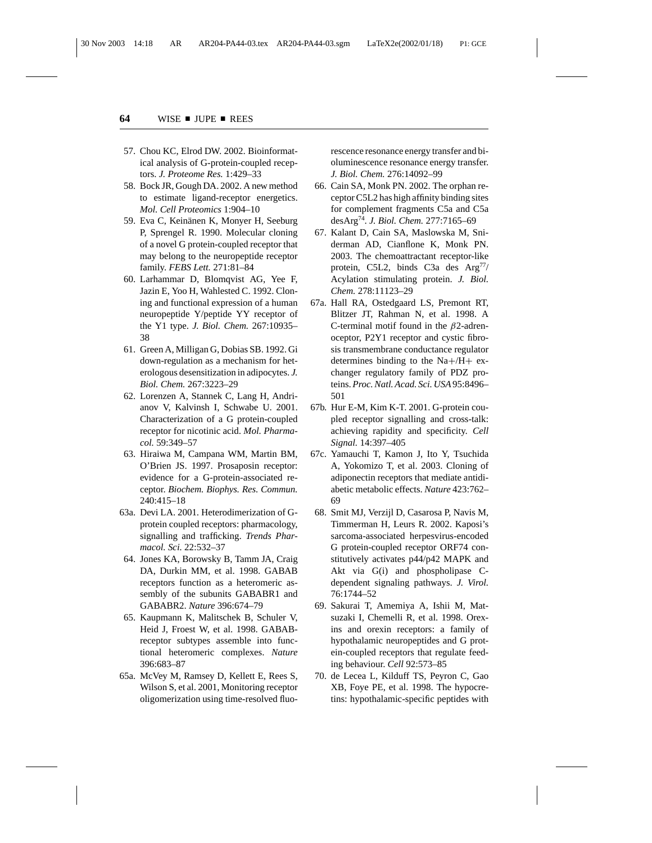- 57. Chou KC, Elrod DW. 2002. Bioinformatical analysis of G-protein-coupled receptors. *J. Proteome Res.* 1:429–33
- 58. Bock JR, Gough DA. 2002. A new method to estimate ligand-receptor energetics. *Mol. Cell Proteomics* 1:904–10
- 59. Eva C, Keinänen K, Monyer H, Seeburg P, Sprengel R. 1990. Molecular cloning of a novel G protein-coupled receptor that may belong to the neuropeptide receptor family. *FEBS Lett.* 271:81–84
- 60. Larhammar D, Blomqvist AG, Yee F, Jazin E, Yoo H, Wahlested C. 1992. Cloning and functional expression of a human neuropeptide Y/peptide YY receptor of the Y1 type. *J. Biol. Chem.* 267:10935– 38
- 61. Green A, Milligan G, Dobias SB. 1992. Gi down-regulation as a mechanism for heterologous desensitization in adipocytes. *J. Biol. Chem.* 267:3223–29
- 62. Lorenzen A, Stannek C, Lang H, Andrianov V, Kalvinsh I, Schwabe U. 2001. Characterization of a G protein-coupled receptor for nicotinic acid. *Mol. Pharmacol.* 59:349–57
- 63. Hiraiwa M, Campana WM, Martin BM, O'Brien JS. 1997. Prosaposin receptor: evidence for a G-protein-associated receptor. *Biochem. Biophys. Res. Commun.* 240:415–18
- 63a. Devi LA. 2001. Heterodimerization of Gprotein coupled receptors: pharmacology, signalling and trafficking. *Trends Pharmacol. Sci.* 22:532–37
- 64. Jones KA, Borowsky B, Tamm JA, Craig DA, Durkin MM, et al. 1998. GABAB receptors function as a heteromeric assembly of the subunits GABABR1 and GABABR2. *Nature* 396:674–79
- 65. Kaupmann K, Malitschek B, Schuler V, Heid J, Froest W, et al. 1998. GABABreceptor subtypes assemble into functional heteromeric complexes. *Nature* 396:683–87
- 65a. McVey M, Ramsey D, Kellett E, Rees S, Wilson S, et al. 2001, Monitoring receptor oligomerization using time-resolved fluo-

rescence resonance energy transfer and bioluminescence resonance energy transfer. *J. Biol. Chem.* 276:14092–99

- 66. Cain SA, Monk PN. 2002. The orphan receptor C5L2 has high affinity binding sites for complement fragments C5a and C5a desArg74. *J. Biol. Chem.* 277:7165–69
- 67. Kalant D, Cain SA, Maslowska M, Sniderman AD, Cianflone K, Monk PN. 2003. The chemoattractant receptor-like protein, C5L2, binds C3a des  $Arg^{77/2}$ Acylation stimulating protein. *J. Biol. Chem.* 278:11123–29
- 67a. Hall RA, Ostedgaard LS, Premont RT, Blitzer JT, Rahman N, et al. 1998. A C-terminal motif found in the  $\beta$ 2-adrenoceptor, P2Y1 receptor and cystic fibrosis transmembrane conductance regulator determines binding to the Na+/H+ exchanger regulatory family of PDZ proteins.*Proc. Natl. Acad. Sci. USA*95:8496– 501
- 67b. Hur E-M, Kim K-T. 2001. G-protein coupled receptor signalling and cross-talk: achieving rapidity and specificity. *Cell Signal.* 14:397–405
- 67c. Yamauchi T, Kamon J, Ito Y, Tsuchida A, Yokomizo T, et al. 2003. Cloning of adiponectin receptors that mediate antidiabetic metabolic effects. *Nature* 423:762– 69
- 68. Smit MJ, Verzijl D, Casarosa P, Navis M, Timmerman H, Leurs R. 2002. Kaposi's sarcoma-associated herpesvirus-encoded G protein-coupled receptor ORF74 constitutively activates p44/p42 MAPK and Akt via G(i) and phospholipase Cdependent signaling pathways. *J. Virol.* 76:1744–52
- 69. Sakurai T, Amemiya A, Ishii M, Matsuzaki I, Chemelli R, et al. 1998. Orexins and orexin receptors: a family of hypothalamic neuropeptides and G protein-coupled receptors that regulate feeding behaviour. *Cell* 92:573–85
- 70. de Lecea L, Kilduff TS, Peyron C, Gao XB, Foye PE, et al. 1998. The hypocretins: hypothalamic-specific peptides with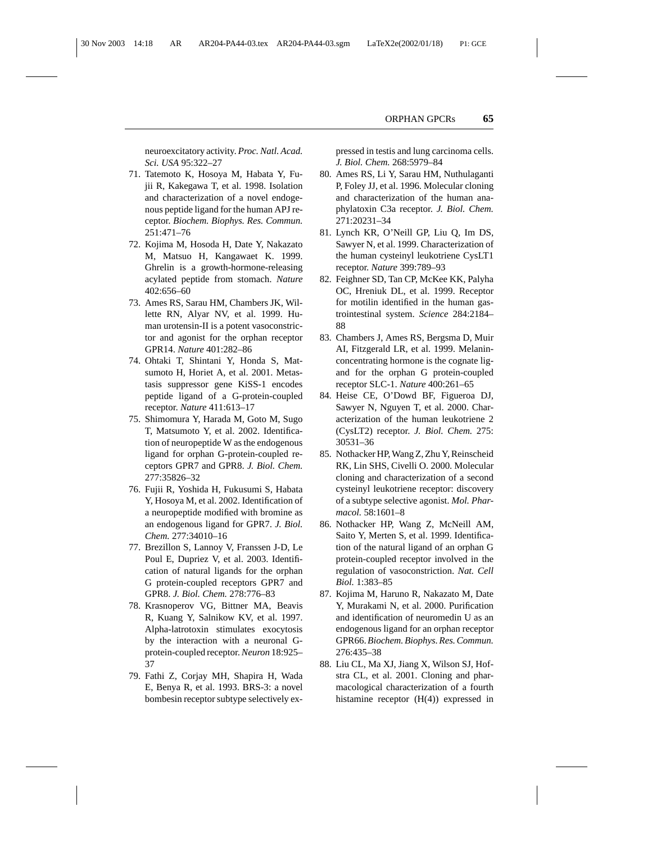neuroexcitatory activity. *Proc. Natl. Acad. Sci. USA* 95:322–27

- 71. Tatemoto K, Hosoya M, Habata Y, Fujii R, Kakegawa T, et al. 1998. Isolation and characterization of a novel endogenous peptide ligand for the human APJ receptor. *Biochem. Biophys. Res. Commun.* 251:471–76
- 72. Kojima M, Hosoda H, Date Y, Nakazato M, Matsuo H, Kangawaet K. 1999. Ghrelin is a growth-hormone-releasing acylated peptide from stomach. *Nature* 402:656–60
- 73. Ames RS, Sarau HM, Chambers JK, Willette RN, Alyar NV, et al. 1999. Human urotensin-II is a potent vasoconstrictor and agonist for the orphan receptor GPR14. *Nature* 401:282–86
- 74. Ohtaki T, Shintani Y, Honda S, Matsumoto H, Horiet A, et al. 2001. Metastasis suppressor gene KiSS-1 encodes peptide ligand of a G-protein-coupled receptor. *Nature* 411:613–17
- 75. Shimomura Y, Harada M, Goto M, Sugo T, Matsumoto Y, et al. 2002. Identification of neuropeptide W as the endogenous ligand for orphan G-protein-coupled receptors GPR7 and GPR8. *J. Biol. Chem.* 277:35826–32
- 76. Fujii R, Yoshida H, Fukusumi S, Habata Y, Hosoya M, et al. 2002. Identification of a neuropeptide modified with bromine as an endogenous ligand for GPR7. *J. Biol. Chem.* 277:34010–16
- 77. Brezillon S, Lannoy V, Franssen J-D, Le Poul E, Dupriez V, et al. 2003. Identification of natural ligands for the orphan G protein-coupled receptors GPR7 and GPR8. *J. Biol. Chem.* 278:776–83
- 78. Krasnoperov VG, Bittner MA, Beavis R, Kuang Y, Salnikow KV, et al. 1997. Alpha-latrotoxin stimulates exocytosis by the interaction with a neuronal Gprotein-coupled receptor.*Neuron* 18:925– 37
- 79. Fathi Z, Corjay MH, Shapira H, Wada E, Benya R, et al. 1993. BRS-3: a novel bombesin receptor subtype selectively ex-

pressed in testis and lung carcinoma cells. *J. Biol. Chem.* 268:5979–84

- 80. Ames RS, Li Y, Sarau HM, Nuthulaganti P, Foley JJ, et al. 1996. Molecular cloning and characterization of the human anaphylatoxin C3a receptor. *J. Biol. Chem.* 271:20231–34
- 81. Lynch KR, O'Neill GP, Liu Q, Im DS, Sawyer N, et al. 1999. Characterization of the human cysteinyl leukotriene CysLT1 receptor. *Nature* 399:789–93
- 82. Feighner SD, Tan CP, McKee KK, Palyha OC, Hreniuk DL, et al. 1999. Receptor for motilin identified in the human gastrointestinal system. *Science* 284:2184– 88
- 83. Chambers J, Ames RS, Bergsma D, Muir AI, Fitzgerald LR, et al. 1999. Melaninconcentrating hormone is the cognate ligand for the orphan G protein-coupled receptor SLC-1. *Nature* 400:261–65
- 84. Heise CE, O'Dowd BF, Figueroa DJ, Sawyer N, Nguyen T, et al. 2000. Characterization of the human leukotriene 2 (CysLT2) receptor. *J. Biol. Chem.* 275: 30531–36
- 85. Nothacker HP, Wang Z, Zhu Y, Reinscheid RK, Lin SHS, Civelli O. 2000. Molecular cloning and characterization of a second cysteinyl leukotriene receptor: discovery of a subtype selective agonist. *Mol. Pharmacol.* 58:1601–8
- 86. Nothacker HP, Wang Z, McNeill AM, Saito Y, Merten S, et al. 1999. Identification of the natural ligand of an orphan G protein-coupled receptor involved in the regulation of vasoconstriction. *Nat. Cell Biol.* 1:383–85
- 87. Kojima M, Haruno R, Nakazato M, Date Y, Murakami N, et al. 2000. Purification and identification of neuromedin U as an endogenous ligand for an orphan receptor GPR66.*Biochem. Biophys. Res. Commun.* 276:435–38
- 88. Liu CL, Ma XJ, Jiang X, Wilson SJ, Hofstra CL, et al. 2001. Cloning and pharmacological characterization of a fourth histamine receptor (H(4)) expressed in